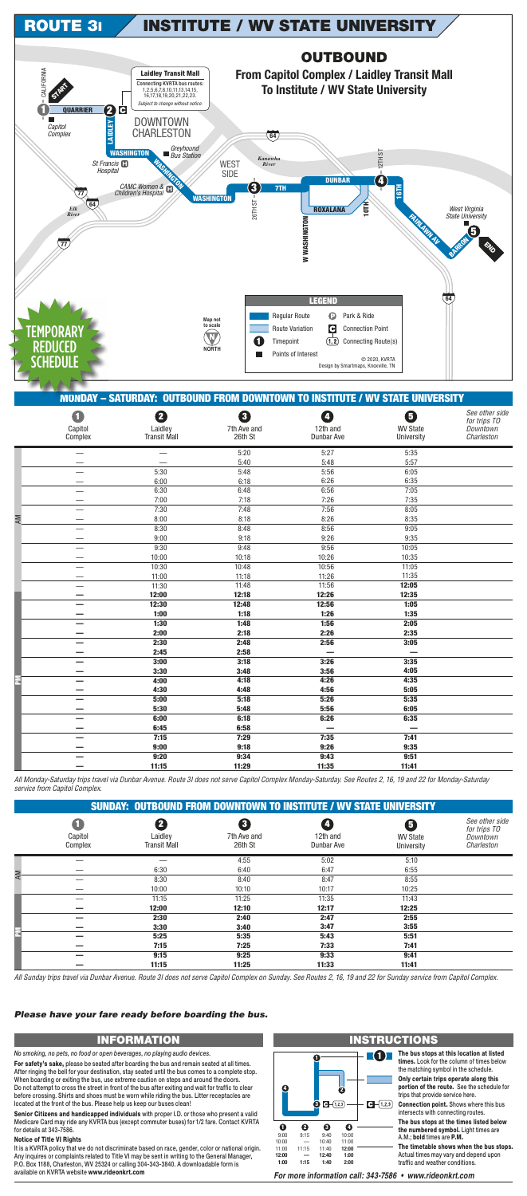# **ROUTE 3I INSTITUTE / WV STATE UNIVERSITY**



All Sunday trips travel via Dunbar Avenue. Route 3I does not serve Capitol Complex on Sunday. See Routes 2, 16, 19 and 22 for Sunday service from Capitol Complex.

|                      | O<br>Capitol<br>Complex       | 2<br>Laidley<br><b>Transit Mall</b> | ❸<br>7th Ave and<br>26th St | Ø<br>12th and<br>Dunbar Ave                                                                                                                                  | $\boldsymbol{\Theta}$<br><b>WV State</b><br><b>University</b> | See other side<br>for trips TO<br>Downtown<br>Charleston |
|----------------------|-------------------------------|-------------------------------------|-----------------------------|--------------------------------------------------------------------------------------------------------------------------------------------------------------|---------------------------------------------------------------|----------------------------------------------------------|
|                      | $\overline{\phantom{0}}$      |                                     | 5:20                        | 5:27                                                                                                                                                         | 5:35                                                          |                                                          |
|                      |                               |                                     | 5:40                        | 5:48                                                                                                                                                         | 5:57                                                          |                                                          |
|                      |                               | 5:30                                | 5:48                        | 5:56                                                                                                                                                         | 6:05                                                          |                                                          |
|                      |                               | 6:00                                | 6:18                        | 6:26                                                                                                                                                         | 6:35                                                          |                                                          |
|                      |                               | 6:30                                | 6:48                        | 6:56                                                                                                                                                         | 7:05                                                          |                                                          |
|                      |                               | 7:00                                | 7:18                        | 7:26                                                                                                                                                         | 7:35                                                          |                                                          |
|                      |                               | 7:30<br>8:00                        | 7:48                        | 7:56<br>8:26                                                                                                                                                 | 8:05<br>8:35                                                  |                                                          |
| <b>AM</b>            |                               | 8:30                                | 8:18<br>8:48                | 8:56                                                                                                                                                         | 9:05                                                          |                                                          |
|                      |                               | 9:00                                | 9:18                        | 9:26                                                                                                                                                         | 9:35                                                          |                                                          |
|                      |                               | 9:30                                | 9:48                        | 9:56                                                                                                                                                         | 10:05                                                         |                                                          |
|                      |                               | 10:00                               | 10:18                       | 10:26                                                                                                                                                        | 10:35                                                         |                                                          |
|                      |                               | 10:30                               | 10:48                       | 10:56                                                                                                                                                        | 11:05                                                         |                                                          |
|                      |                               | 11:00                               | 11:18                       | 11:26                                                                                                                                                        | 11:35                                                         |                                                          |
|                      |                               | 11:30                               | 11:48                       | 11:56                                                                                                                                                        | 12:05                                                         |                                                          |
|                      |                               | 12:00                               | 12:18                       | 12:26                                                                                                                                                        | 12:35                                                         |                                                          |
|                      |                               | 12:30                               | 12:48                       | 12:56                                                                                                                                                        | 1:05                                                          |                                                          |
|                      |                               | 1:00                                | 1:18                        | 1:26                                                                                                                                                         | 1:35                                                          |                                                          |
|                      |                               | 1:30<br>2:00                        | 1:48<br>2:18                | 1:56<br>2:26                                                                                                                                                 | 2:05<br>2:35                                                  |                                                          |
|                      |                               | 2:30                                | 2:48                        | 2:56                                                                                                                                                         | 3:05                                                          |                                                          |
|                      |                               | 2:45                                | 2:58                        |                                                                                                                                                              |                                                               |                                                          |
|                      |                               | 3:00                                | 3:18                        | 3:26                                                                                                                                                         | 3:35                                                          |                                                          |
|                      |                               | 3:30                                | 3:48                        | 3:56                                                                                                                                                         | 4:05                                                          |                                                          |
| $\tilde{\mathbf{r}}$ |                               | 4:00                                | 4:18                        | 4:26                                                                                                                                                         | 4:35                                                          |                                                          |
|                      |                               | 4:30                                | 4:48                        | 4:56                                                                                                                                                         | 5:05                                                          |                                                          |
|                      |                               | 5:00                                | 5:18                        | 5:26                                                                                                                                                         | 5:35                                                          |                                                          |
|                      |                               | 5:30                                | 5:48                        | 5:56                                                                                                                                                         | 6:05                                                          |                                                          |
|                      |                               | 6:00                                | 6:18                        | 6:26                                                                                                                                                         | 6:35                                                          |                                                          |
|                      |                               | 6:45                                | 6:58                        |                                                                                                                                                              | -                                                             |                                                          |
|                      |                               | 7:15                                | 7:29                        | 7:35                                                                                                                                                         | 7:41                                                          |                                                          |
|                      |                               | 9:00<br>9:20                        | 9:18<br>9:34                | 9:26<br>9:43                                                                                                                                                 | 9:35<br>9:51                                                  |                                                          |
|                      |                               | 11:15                               | 11:29                       | 11:35                                                                                                                                                        | 11:41                                                         |                                                          |
|                      | service from Capitol Complex. |                                     |                             | All Monday-Saturday trips travel via Dunbar Avenue. Route 3I does not serve Capitol Complex Monday-Saturday. See Routes 2, 16, 19 and 22 for Monday-Saturday |                                                               |                                                          |
|                      |                               |                                     |                             | <b>SUNDAY: OUTBOUND FROM DOWNTOWN TO INSTITUTE / WV STATE UNIVERSITY</b>                                                                                     |                                                               |                                                          |
|                      | O                             | 2                                   | 8                           | $\overline{\mathbf{A}}$                                                                                                                                      | 0                                                             | See other side<br>for trips TO                           |
|                      | Capitol<br>Complex            | Laidley<br><b>Transit Mall</b>      | 7th Ave and<br>26th St      | 12th and<br>Dunbar Ave                                                                                                                                       | <b>WV State</b><br><b>University</b>                          | Downtown<br>Charleston                                   |
|                      |                               |                                     | 4:55                        | 5:02                                                                                                                                                         | 5:10                                                          |                                                          |
| NΝ                   |                               | 6:30                                | 6:40                        | 6:47                                                                                                                                                         | 6:55                                                          |                                                          |
|                      |                               | 8:30<br>10:00                       | 8:40<br>10:10               | 8:47<br>10:17                                                                                                                                                | 8:55<br>10:25                                                 |                                                          |
|                      |                               | 11:15                               | 11:25                       | 11:35                                                                                                                                                        | 11:43                                                         |                                                          |
|                      |                               | 12:00                               | 12:10                       | 12:17                                                                                                                                                        | 12:25                                                         |                                                          |
|                      |                               | 2:30                                | 2:40                        | 2:47                                                                                                                                                         | 2:55                                                          |                                                          |
|                      |                               | 3:30                                | 3:40                        | 3:47                                                                                                                                                         | 3:55                                                          |                                                          |
|                      |                               | <b>E.OE</b>                         | 長いつに                        | 5.42                                                                                                                                                         | 6.64                                                          |                                                          |

| <b>SUNDAY: OUTBOUND FROM DOWNTOWN TO INSTITUTE / WV STATE UNIVERSITY</b> |                    |                                     |                                        |                        |                                    |                                                          |  |  |
|--------------------------------------------------------------------------|--------------------|-------------------------------------|----------------------------------------|------------------------|------------------------------------|----------------------------------------------------------|--|--|
|                                                                          | Capitol<br>Complex | 2<br>Laidley<br><b>Transit Mall</b> | $\mathbf{3}$<br>7th Ave and<br>26th St | 12th and<br>Dunbar Ave | 6<br><b>WV State</b><br>University | See other side<br>for trips TO<br>Downtown<br>Charleston |  |  |
|                                                                          |                    |                                     | 4:55                                   | 5:02                   | 5:10                               |                                                          |  |  |
| <b>AM</b>                                                                |                    | 6:30                                | 6:40                                   | 6:47                   | 6:55                               |                                                          |  |  |
|                                                                          |                    | 8:30                                | 8:40                                   | 8:47                   | 8:55                               |                                                          |  |  |
|                                                                          |                    | 10:00                               | 10:10                                  | 10:17                  | 10:25                              |                                                          |  |  |
|                                                                          |                    | 11:15                               | 11:25                                  | 11:35                  | 11:43                              |                                                          |  |  |
|                                                                          |                    | 12:00                               | 12:10                                  | 12:17                  | 12:25                              |                                                          |  |  |
|                                                                          |                    | 2:30                                | 2:40                                   | 2:47                   | 2:55                               |                                                          |  |  |
|                                                                          |                    | 3:30                                | 3:40                                   | 3:47                   | 3:55                               |                                                          |  |  |
| Ē                                                                        |                    | 5:25                                | 5:35                                   | 5:43                   | 5:51                               |                                                          |  |  |
|                                                                          |                    | 7:15                                | 7:25                                   | 7:33                   | 7:41                               |                                                          |  |  |
|                                                                          |                    | 9:15                                | 9:25                                   | 9:33                   | 9:41                               |                                                          |  |  |
|                                                                          |                    | 11:15                               | 11:25                                  | 11:33                  | 11:41                              |                                                          |  |  |

It is a KVRTA policy that we do not discriminate based on race, gender, color or national origin. Any inquires or complaints related to Title VI may be sent in writing to the General Manager, P.O. Box 1188, Charleston, WV 25324 or calling 304-343-3840. A downloadable form is available on KVRTA website www.rideonkrt.com *For more information call: 343-7586 • www.rideonkrt.com* 

# **MONDAY – SATURDAY: OUTBOUND FROM DOWNTOWN TO INSTITUTE / WV STATE UNIVERSITY MONDAY –**

## **INFORMATION INSTRUCTIONS**

**The bus stops at this location at listed times.** Look for the column of times below the matching symbol in the schedule.

**Only certain trips operate along this portion of the route.** See the schedule for trips that provide service here.

**Connection point.** Shows where this bus intersects with connecting routes.



**The bus stops at the times listed below the numbered symbol.** Light times are A.M.; **bold** times are **P.M.**

**The timetable shows when the bus stops.** Actual times may vary and depend upon traffic and weather conditions.

*No smoking, no pets, no food or open beverages, no playing audio devices.*

**For safety's sake,** please be seated after boarding the bus and remain seated at all times. After ringing the bell for your destination, stay seated until the bus comes to a complete stop. When boarding or exiting the bus, use extreme caution on steps and around the doors. Do not attempt to cross the street in front of the bus after exiting and wait for traffic to clear before crossing. Shirts and shoes must be worn while riding the bus. Litter receptacles are located at the front of the bus. Please help us keep our buses clean!

**Senior Citizens and handicapped individuals** with proper I.D. or those who present a valid Medicare Card may ride any KVRTA bus (except commuter buses) for 1/2 fare. Contact KVRTA for details at 343-7586.

#### **Notice of Title VI Rights**

#### *Please have your fare ready before boarding the bus.*